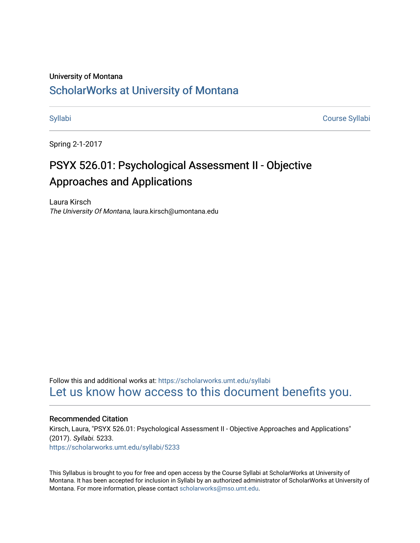#### University of Montana

# [ScholarWorks at University of Montana](https://scholarworks.umt.edu/)

[Syllabi](https://scholarworks.umt.edu/syllabi) [Course Syllabi](https://scholarworks.umt.edu/course_syllabi) 

Spring 2-1-2017

# PSYX 526.01: Psychological Assessment II - Objective Approaches and Applications

Laura Kirsch The University Of Montana, laura.kirsch@umontana.edu

Follow this and additional works at: [https://scholarworks.umt.edu/syllabi](https://scholarworks.umt.edu/syllabi?utm_source=scholarworks.umt.edu%2Fsyllabi%2F5233&utm_medium=PDF&utm_campaign=PDFCoverPages)  [Let us know how access to this document benefits you.](https://goo.gl/forms/s2rGfXOLzz71qgsB2) 

#### Recommended Citation

Kirsch, Laura, "PSYX 526.01: Psychological Assessment II - Objective Approaches and Applications" (2017). Syllabi. 5233. [https://scholarworks.umt.edu/syllabi/5233](https://scholarworks.umt.edu/syllabi/5233?utm_source=scholarworks.umt.edu%2Fsyllabi%2F5233&utm_medium=PDF&utm_campaign=PDFCoverPages)

This Syllabus is brought to you for free and open access by the Course Syllabi at ScholarWorks at University of Montana. It has been accepted for inclusion in Syllabi by an authorized administrator of ScholarWorks at University of Montana. For more information, please contact [scholarworks@mso.umt.edu.](mailto:scholarworks@mso.umt.edu)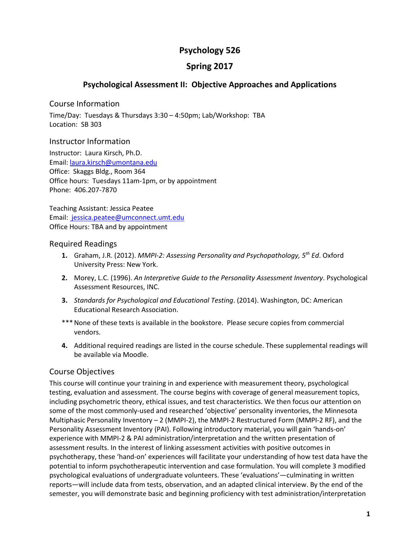# **Psychology 526**

# **Spring 2017**

# **Psychological Assessment II: Objective Approaches and Applications**

# Course Information

Time/Day: Tuesdays & Thursdays 3:30 – 4:50pm; Lab/Workshop: TBA Location: SB 303

# Instructor Information

Instructor: Laura Kirsch, Ph.D. Email: [laura.kirsch@umontana.edu](mailto:laura.kirsch@umontana.edu)  Office: Skaggs Bldg., Room 364 Office hours: Tuesdays 11am-1pm, or by appointment Phone: 406.207-7870

Teaching Assistant: Jessica Peatee Email: [jessica.peatee@umconnect.umt.edu](mailto:desiree.fox@umontana.edu) Office Hours: TBA and by appointment

### Required Readings

- **1.** Graham, J.R. (2012). *MMPI-2: Assessing Personality and Psychopathology, 5th Ed*. Oxford University Press: New York.
- **2.** Morey, L.C. (1996). *An Interpretive Guide to the Personality Assessment Inventory*. Psychological Assessment Resources, INC.
- **3.** *Standards for Psychological and Educational Testing*. (2014). Washington, DC: American Educational Research Association.
- \*\*\* None of these texts is available in the bookstore. Please secure copies from commercial vendors.
- **4.** Additional required readings are listed in the course schedule. These supplemental readings will be available via Moodle.

# Course Objectives

This course will continue your training in and experience with measurement theory, psychological testing, evaluation and assessment. The course begins with coverage of general measurement topics, including psychometric theory, ethical issues, and test characteristics. We then focus our attention on some of the most commonly-used and researched 'objective' personality inventories, the Minnesota Multiphasic Personality Inventory – 2 (MMPI-2), the MMPI-2 Restructured Form (MMPI-2 RF), and the Personality Assessment Inventory (PAI). Following introductory material, you will gain 'hands-on' experience with MMPI-2 & PAI administration/interpretation and the written presentation of assessment results. In the interest of linking assessment activities with positive outcomes in psychotherapy, these 'hand-on' experiences will facilitate your understanding of how test data have the potential to inform psychotherapeutic intervention and case formulation. You will complete 3 modified psychological evaluations of undergraduate volunteers. These 'evaluations'—culminating in written reports—will include data from tests, observation, and an adapted clinical interview. By the end of the semester, you will demonstrate basic and beginning proficiency with test administration/interpretation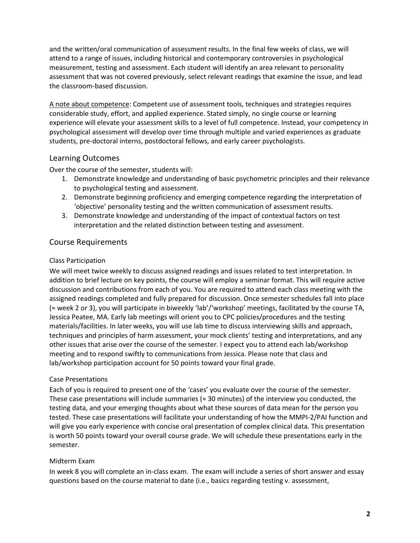and the written/oral communication of assessment results. In the final few weeks of class, we will attend to a range of issues, including historical and contemporary controversies in psychological measurement, testing and assessment. Each student will identify an area relevant to personality assessment that was not covered previously, select relevant readings that examine the issue, and lead the classroom-based discussion.

A note about competence: Competent use of assessment tools, techniques and strategies requires considerable study, effort, and applied experience. Stated simply, no single course or learning experience will elevate your assessment skills to a level of full competence. Instead, your competency in psychological assessment will develop over time through multiple and varied experiences as graduate students, pre-doctoral interns, postdoctoral fellows, and early career psychologists.

# Learning Outcomes

Over the course of the semester, students will:

- 1. Demonstrate knowledge and understanding of basic psychometric principles and their relevance to psychological testing and assessment.
- 2. Demonstrate beginning proficiency and emerging competence regarding the interpretation of 'objective' personality testing and the written communication of assessment results.
- 3. Demonstrate knowledge and understanding of the impact of contextual factors on test interpretation and the related distinction between testing and assessment.

# Course Requirements

### Class Participation

We will meet twice weekly to discuss assigned readings and issues related to test interpretation. In addition to brief lecture on key points, the course will employ a seminar format. This will require active discussion and contributions from each of you. You are required to attend each class meeting with the assigned readings completed and fully prepared for discussion. Once semester schedules fall into place (≈ week 2 or 3), you will participate in biweekly 'lab'/'workshop' meetings, facilitated by the course TA, Jessica Peatee, MA. Early lab meetings will orient you to CPC policies/procedures and the testing materials/facilities. In later weeks, you will use lab time to discuss interviewing skills and approach, techniques and principles of harm assessment, your mock clients' testing and interpretations, and any other issues that arise over the course of the semester. I expect you to attend each lab/workshop meeting and to respond swiftly to communications from Jessica. Please note that class and lab/workshop participation account for 50 points toward your final grade.

# Case Presentations

Each of you is required to present one of the 'cases' you evaluate over the course of the semester. These case presentations will include summaries ( $\approx$  30 minutes) of the interview you conducted, the testing data, and your emerging thoughts about what these sources of data mean for the person you tested. These case presentations will facilitate your understanding of how the MMPI-2/PAI function and will give you early experience with concise oral presentation of complex clinical data. This presentation is worth 50 points toward your overall course grade. We will schedule these presentations early in the semester.

# Midterm Exam

In week 8 you will complete an in-class exam. The exam will include a series of short answer and essay questions based on the course material to date (i.e., basics regarding testing v. assessment,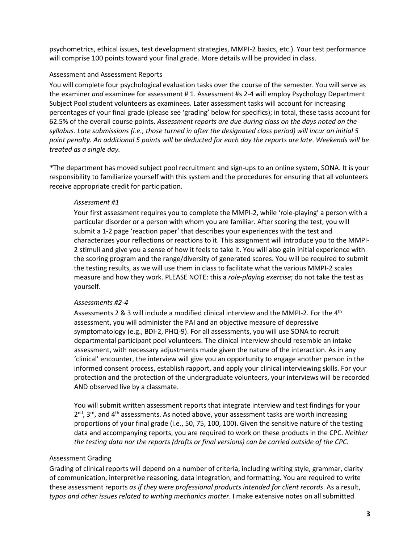psychometrics, ethical issues, test development strategies, MMPI-2 basics, etc.). Your test performance will comprise 100 points toward your final grade. More details will be provided in class.

#### Assessment and Assessment Reports

You will complete four psychological evaluation tasks over the course of the semester. You will serve as the examiner *and* examinee for assessment # 1. Assessment #s 2-4 will employ Psychology Department Subject Pool student volunteers as examinees. Later assessment tasks will account for increasing percentages of your final grade (please see 'grading' below for specifics); in total, these tasks account for 62.5% of the overall course points. *Assessment reports are due during class on the days noted on the syllabus. Late submissions (i.e., those turned in after the designated class period) will incur an initial 5 point penalty. An additional 5 points will be deducted for each day the reports are late*. *Weekends will be treated as a single day.*

*\**The department has moved subject pool recruitment and sign-ups to an online system, SONA. It is your responsibility to familiarize yourself with this system and the procedures for ensuring that all volunteers receive appropriate credit for participation.

#### *Assessment #1*

Your first assessment requires you to complete the MMPI-2, while 'role-playing' a person with a particular disorder or a person with whom you are familiar. After scoring the test, you will submit a 1-2 page 'reaction paper' that describes your experiences with the test and characterizes your reflections or reactions to it. This assignment will introduce you to the MMPI-2 stimuli and give you a sense of how it feels to take it. You will also gain initial experience with the scoring program and the range/diversity of generated scores. You will be required to submit the testing results, as we will use them in class to facilitate what the various MMPI-2 scales measure and how they work. PLEASE NOTE: this a *role-playing exercise*; do not take the test as yourself.

#### *Assessments #2-4*

Assessments 2 & 3 will include a modified clinical interview and the MMPI-2. For the 4th assessment, you will administer the PAI and an objective measure of depressive symptomatology (e.g., BDI-2, PHQ-9). For all assessments, you will use SONA to recruit departmental participant pool volunteers. The clinical interview should resemble an intake assessment, with necessary adjustments made given the nature of the interaction. As in any 'clinical' encounter, the interview will give you an opportunity to engage another person in the informed consent process, establish rapport, and apply your clinical interviewing skills. For your protection and the protection of the undergraduate volunteers, your interviews will be recorded AND observed live by a classmate.

You will submit written assessment reports that integrate interview and test findings for your  $2^{nd}$ ,  $3^{rd}$ , and  $4^{th}$  assessments. As noted above, your assessment tasks are worth increasing proportions of your final grade (i.e., 50, 75, 100, 100). Given the sensitive nature of the testing data and accompanying reports, you are required to work on these products in the CPC. *Neither the testing data nor the reports (drafts or final versions) can be carried outside of the CPC.*

# Assessment Grading

Grading of clinical reports will depend on a number of criteria, including writing style, grammar, clarity of communication, interpretive reasoning, data integration, and formatting. You are required to write these assessment reports *as if they were professional products intended for client records*. As a result, *typos and other issues related to writing mechanics matter*. I make extensive notes on all submitted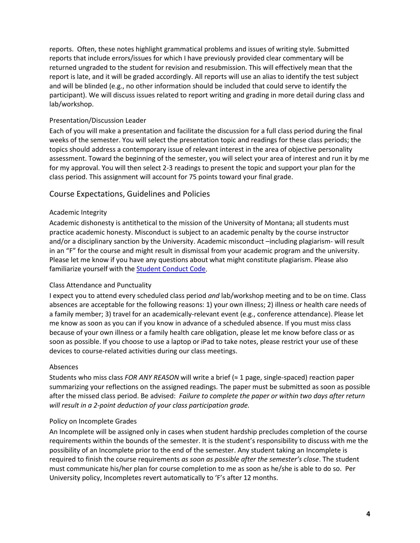reports. Often, these notes highlight grammatical problems and issues of writing style. Submitted reports that include errors/issues for which I have previously provided clear commentary will be returned ungraded to the student for revision and resubmission. This will effectively mean that the report is late, and it will be graded accordingly. All reports will use an alias to identify the test subject and will be blinded (e.g., no other information should be included that could serve to identify the participant). We will discuss issues related to report writing and grading in more detail during class and lab/workshop.

# Presentation/Discussion Leader

Each of you will make a presentation and facilitate the discussion for a full class period during the final weeks of the semester. You will select the presentation topic and readings for these class periods; the topics should address a contemporary issue of relevant interest in the area of objective personality assessment. Toward the beginning of the semester, you will select your area of interest and run it by me for my approval. You will then select 2-3 readings to present the topic and support your plan for the class period. This assignment will account for 75 points toward your final grade.

# Course Expectations, Guidelines and Policies

### Academic Integrity

Academic dishonesty is antithetical to the mission of the University of Montana; all students must practice academic honesty. Misconduct is subject to an academic penalty by the course instructor and/or a disciplinary sanction by the University. Academic misconduct –including plagiarism- will result in an "F" for the course and might result in dismissal from your academic program and the university. Please let me know if you have any questions about what might constitute plagiarism. Please also familiarize yourself with the [Student Conduct Code.](http://www.umt.edu/vpsa/policies/student_conduct.php)

#### Class Attendance and Punctuality

I expect you to attend every scheduled class period *and* lab/workshop meeting and to be on time. Class absences are acceptable for the following reasons: 1) your own illness; 2) illness or health care needs of a family member; 3) travel for an academically-relevant event (e.g., conference attendance). Please let me know as soon as you can if you know in advance of a scheduled absence. If you must miss class because of your own illness or a family health care obligation, please let me know before class or as soon as possible. If you choose to use a laptop or iPad to take notes, please restrict your use of these devices to course-related activities during our class meetings.

#### Absences

Students who miss class *FOR ANY REASON* will write a brief (≈ 1 page, single-spaced) reaction paper summarizing your reflections on the assigned readings. The paper must be submitted as soon as possible after the missed class period. Be advised: *Failure to complete the paper or within two days after return will result in a 2-point deduction of your class participation grade.* 

#### Policy on Incomplete Grades

An Incomplete will be assigned only in cases when student hardship precludes completion of the course requirements within the bounds of the semester. It is the student's responsibility to discuss with me the possibility of an Incomplete prior to the end of the semester. Any student taking an Incomplete is required to finish the course requirements *as soon as possible after the semester's close*. The student must communicate his/her plan for course completion to me as soon as he/she is able to do so. Per University policy, Incompletes revert automatically to 'F's after 12 months.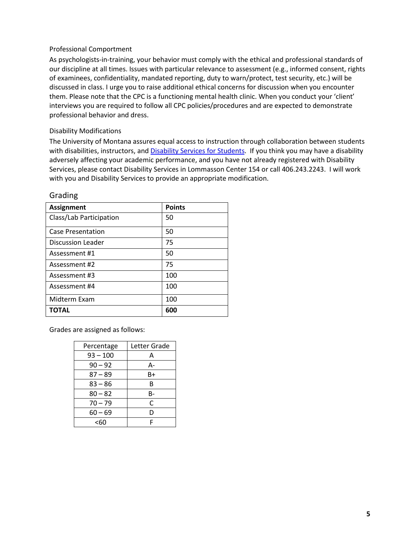### Professional Comportment

As psychologists-in-training, your behavior must comply with the ethical and professional standards of our discipline at all times. Issues with particular relevance to assessment (e.g., informed consent, rights of examinees, confidentiality, mandated reporting, duty to warn/protect, test security, etc.) will be discussed in class. I urge you to raise additional ethical concerns for discussion when you encounter them. Please note that the CPC is a functioning mental health clinic. When you conduct your 'client' interviews you are required to follow all CPC policies/procedures and are expected to demonstrate professional behavior and dress.

#### Disability Modifications

The University of Montana assures equal access to instruction through collaboration between students with disabilities, instructors, an[d Disability Services for Students.](http://www.umt.edu/dss/) If you think you may have a disability adversely affecting your academic performance, and you have not already registered with Disability Services, please contact Disability Services in Lommasson Center 154 or call 406.243.2243. I will work with you and Disability Services to provide an appropriate modification.

| <b>Assignment</b>       | <b>Points</b> |
|-------------------------|---------------|
| Class/Lab Participation | 50            |
| Case Presentation       | 50            |
| Discussion Leader       | 75            |
| Assessment #1           | 50            |
| Assessment #2           | 75            |
| Assessment #3           | 100           |
| Assessment #4           | 100           |
| Midterm Exam            | 100           |
| <b>TOTAL</b>            | 600           |

Grading

Grades are assigned as follows:

| Percentage | Letter Grade |
|------------|--------------|
| $93 - 100$ | А            |
| $90 - 92$  | А-           |
| $87 - 89$  | B+           |
| $83 - 86$  | B            |
| $80 - 82$  | B-           |
| $70 - 79$  | C            |
| $60 - 69$  | D            |
| <60        | F            |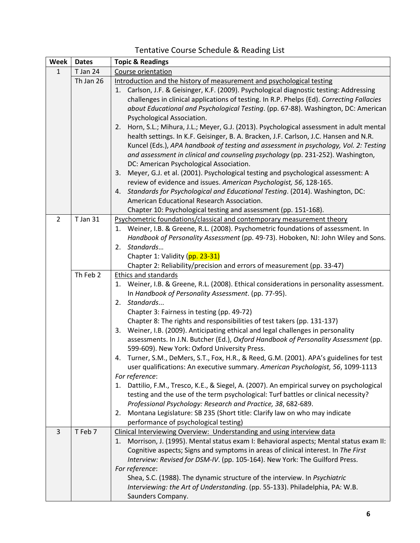# Tentative Course Schedule & Reading List

| Week           | <b>Dates</b>    | <b>Topic &amp; Readings</b>                                                                   |
|----------------|-----------------|-----------------------------------------------------------------------------------------------|
| $\mathbf{1}$   | T Jan 24        | Course orientation                                                                            |
|                | Th Jan 26       | Introduction and the history of measurement and psychological testing                         |
|                |                 | 1. Carlson, J.F. & Geisinger, K.F. (2009). Psychological diagnostic testing: Addressing       |
|                |                 | challenges in clinical applications of testing. In R.P. Phelps (Ed). Correcting Fallacies     |
|                |                 | about Educational and Psychological Testing. (pp. 67-88). Washington, DC: American            |
|                |                 | Psychological Association.                                                                    |
|                |                 | Horn, S.L.; Mihura, J.L.; Meyer, G.J. (2013). Psychological assessment in adult mental<br>2.  |
|                |                 | health settings. In K.F. Geisinger, B. A. Bracken, J.F. Carlson, J.C. Hansen and N.R.         |
|                |                 | Kuncel (Eds.), APA handbook of testing and assessment in psychology, Vol. 2: Testing          |
|                |                 | and assessment in clinical and counseling psychology (pp. 231-252). Washington,               |
|                |                 | DC: American Psychological Association.                                                       |
|                |                 | Meyer, G.J. et al. (2001). Psychological testing and psychological assessment: A<br>3.        |
|                |                 | review of evidence and issues. American Psychologist, 56, 128-165.                            |
|                |                 | 4. Standards for Psychological and Educational Testing. (2014). Washington, DC:               |
|                |                 | American Educational Research Association.                                                    |
|                |                 | Chapter 10: Psychological testing and assessment (pp. 151-168).                               |
| $\overline{2}$ | <b>T</b> Jan 31 | Psychometric foundations/classical and contemporary measurement theory                        |
|                |                 | Weiner, I.B. & Greene, R.L. (2008). Psychometric foundations of assessment. In<br>1.          |
|                |                 | Handbook of Personality Assessment (pp. 49-73). Hoboken, NJ: John Wiley and Sons.             |
|                |                 | 2. Standards                                                                                  |
|                |                 | Chapter 1: Validity (pp. 23-31)                                                               |
|                |                 | Chapter 2: Reliability/precision and errors of measurement (pp. 33-47)                        |
|                | Th Feb 2        | Ethics and standards                                                                          |
|                |                 | Weiner, I.B. & Greene, R.L. (2008). Ethical considerations in personality assessment.<br>1.   |
|                |                 | In Handbook of Personality Assessment. (pp. 77-95).                                           |
|                |                 | Standards<br>2.                                                                               |
|                |                 | Chapter 3: Fairness in testing (pp. 49-72)                                                    |
|                |                 | Chapter 8: The rights and responsibilities of test takers (pp. 131-137)                       |
|                |                 | 3. Weiner, I.B. (2009). Anticipating ethical and legal challenges in personality              |
|                |                 | assessments. In J.N. Butcher (Ed.), Oxford Handbook of Personality Assessment (pp.            |
|                |                 | 599-609). New York: Oxford University Press.                                                  |
|                |                 | 4. Turner, S.M., DeMers, S.T., Fox, H.R., & Reed, G.M. (2001). APA's guidelines for test      |
|                |                 | user qualifications: An executive summary. American Psychologist, 56, 1099-1113               |
|                |                 | For reference:                                                                                |
|                |                 | Dattilio, F.M., Tresco, K.E., & Siegel, A. (2007). An empirical survey on psychological<br>1. |
|                |                 | testing and the use of the term psychological: Turf battles or clinical necessity?            |
|                |                 | Professional Psychology: Research and Practice, 38, 682-689.                                  |
|                |                 | Montana Legislature: SB 235 (Short title: Clarify law on who may indicate<br>2.               |
|                |                 | performance of psychological testing)                                                         |
| $\overline{3}$ | T Feb 7         | Clinical Interviewing Overview: Understanding and using interview data                        |
|                |                 | 1. Morrison, J. (1995). Mental status exam I: Behavioral aspects; Mental status exam II:      |
|                |                 | Cognitive aspects; Signs and symptoms in areas of clinical interest. In The First             |
|                |                 | Interview: Revised for DSM-IV. (pp. 105-164). New York: The Guilford Press.                   |
|                |                 | For reference:                                                                                |
|                |                 | Shea, S.C. (1988). The dynamic structure of the interview. In Psychiatric                     |
|                |                 | Interviewing: the Art of Understanding. (pp. 55-133). Philadelphia, PA: W.B.                  |
|                |                 | Saunders Company.                                                                             |
|                |                 |                                                                                               |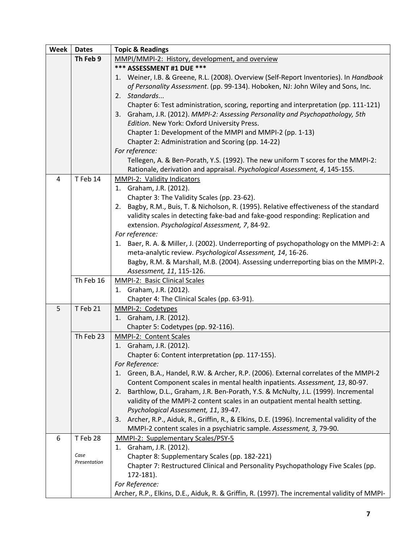| <b>Week</b> | <b>Dates</b>         | <b>Topic &amp; Readings</b>                                                                   |
|-------------|----------------------|-----------------------------------------------------------------------------------------------|
|             | Th Feb 9             | MMPI/MMPI-2: History, development, and overview                                               |
|             |                      | *** ASSESSMENT #1 DUE ***                                                                     |
|             |                      | 1. Weiner, I.B. & Greene, R.L. (2008). Overview (Self-Report Inventories). In Handbook        |
|             |                      | of Personality Assessment. (pp. 99-134). Hoboken, NJ: John Wiley and Sons, Inc.               |
|             |                      | 2. Standards                                                                                  |
|             |                      | Chapter 6: Test administration, scoring, reporting and interpretation (pp. 111-121)           |
|             |                      | Graham, J.R. (2012). MMPI-2: Assessing Personality and Psychopathology, 5th<br>3.             |
|             |                      | Edition. New York: Oxford University Press.                                                   |
|             |                      | Chapter 1: Development of the MMPI and MMPI-2 (pp. 1-13)                                      |
|             |                      | Chapter 2: Administration and Scoring (pp. 14-22)                                             |
|             |                      | For reference:                                                                                |
|             |                      | Tellegen, A. & Ben-Porath, Y.S. (1992). The new uniform T scores for the MMPI-2:              |
|             |                      | Rationale, derivation and appraisal. Psychological Assessment, 4, 145-155.                    |
| 4           | T Feb 14             | MMPI-2: Validity Indicators                                                                   |
|             |                      | 1. Graham, J.R. (2012).                                                                       |
|             |                      | Chapter 3: The Validity Scales (pp. 23-62).                                                   |
|             |                      | Bagby, R.M., Buis, T. & Nicholson, R. (1995). Relative effectiveness of the standard<br>2.    |
|             |                      | validity scales in detecting fake-bad and fake-good responding: Replication and               |
|             |                      | extension. Psychological Assessment, 7, 84-92.                                                |
|             |                      | For reference:                                                                                |
|             |                      | 1. Baer, R. A. & Miller, J. (2002). Underreporting of psychopathology on the MMPI-2: A        |
|             |                      | meta-analytic review. Psychological Assessment, 14, 16-26.                                    |
|             |                      | Bagby, R.M. & Marshall, M.B. (2004). Assessing underreporting bias on the MMPI-2.             |
|             |                      | Assessment, 11, 115-126.                                                                      |
|             | Th Feb 16            | <b>MMPI-2: Basic Clinical Scales</b>                                                          |
|             |                      | 1. Graham, J.R. (2012).                                                                       |
|             |                      | Chapter 4: The Clinical Scales (pp. 63-91).                                                   |
| 5           | T Feb 21             | MMPI-2: Codetypes                                                                             |
|             |                      | 1. Graham, J.R. (2012).                                                                       |
|             |                      | Chapter 5: Codetypes (pp. 92-116).                                                            |
|             | Th Feb 23            | MMPI-2: Content Scales                                                                        |
|             |                      | 1. Graham, J.R. (2012).                                                                       |
|             |                      | Chapter 6: Content interpretation (pp. 117-155).                                              |
|             |                      | For Reference:                                                                                |
|             |                      | 1. Green, B.A., Handel, R.W. & Archer, R.P. (2006). External correlates of the MMPI-2         |
|             |                      | Content Component scales in mental health inpatients. Assessment, 13, 80-97.                  |
|             |                      | Barthlow, D.L., Graham, J.R. Ben-Porath, Y.S. & McNulty, J.L. (1999). Incremental<br>2.       |
|             |                      | validity of the MMPI-2 content scales in an outpatient mental health setting.                 |
|             |                      | Psychological Assessment, 11, 39-47.                                                          |
|             |                      | 3. Archer, R.P., Aiduk, R., Griffin, R., & Elkins, D.E. (1996). Incremental validity of the   |
|             |                      | MMPI-2 content scales in a psychiatric sample. Assessment, 3, 79-90.                          |
| 6           | T Feb 28             | MMPI-2: Supplementary Scales/PSY-5                                                            |
|             |                      | 1. Graham, J.R. (2012).                                                                       |
|             | Case<br>Presentation | Chapter 8: Supplementary Scales (pp. 182-221)                                                 |
|             |                      | Chapter 7: Restructured Clinical and Personality Psychopathology Five Scales (pp.             |
|             |                      | 172-181).                                                                                     |
|             |                      | For Reference:                                                                                |
|             |                      | Archer, R.P., Elkins, D.E., Aiduk, R. & Griffin, R. (1997). The incremental validity of MMPI- |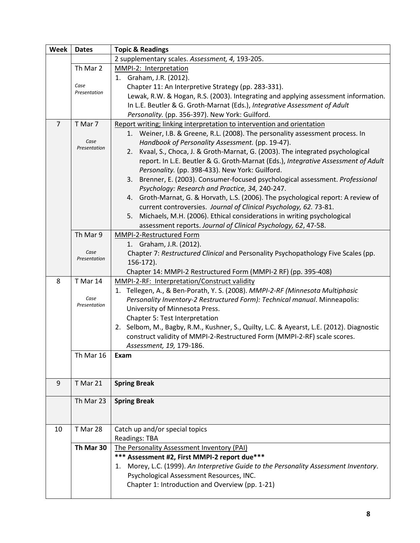| Week           | <b>Dates</b>         | <b>Topic &amp; Readings</b>                                                              |
|----------------|----------------------|------------------------------------------------------------------------------------------|
|                |                      | 2 supplementary scales. Assessment, 4, 193-205.                                          |
|                | Th Mar 2             | MMPI-2: Interpretation                                                                   |
|                |                      | 1. Graham, J.R. (2012).                                                                  |
|                | Case                 | Chapter 11: An Interpretive Strategy (pp. 283-331).                                      |
|                | Presentation         | Lewak, R.W. & Hogan, R.S. (2003). Integrating and applying assessment information.       |
|                |                      | In L.E. Beutler & G. Groth-Marnat (Eds.), Integrative Assessment of Adult                |
|                |                      | Personality. (pp. 356-397). New York: Guilford.                                          |
| $\overline{7}$ | T Mar 7              | Report writing; linking interpretation to intervention and orientation                   |
|                |                      | 1. Weiner, I.B. & Greene, R.L. (2008). The personality assessment process. In            |
|                | Case                 | Handbook of Personality Assessment. (pp. 19-47).                                         |
|                | Presentation         | Kvaal, S., Choca, J. & Groth-Marnat, G. (2003). The integrated psychological<br>2.       |
|                |                      | report. In L.E. Beutler & G. Groth-Marnat (Eds.), Integrative Assessment of Adult        |
|                |                      | Personality. (pp. 398-433). New York: Guilford.                                          |
|                |                      | Brenner, E. (2003). Consumer-focused psychological assessment. Professional<br>3.        |
|                |                      | Psychology: Research and Practice, 34, 240-247.                                          |
|                |                      | Groth-Marnat, G. & Horvath, L.S. (2006). The psychological report: A review of<br>4.     |
|                |                      | current controversies. Journal of Clinical Psychology, 62. 73-81.                        |
|                |                      | Michaels, M.H. (2006). Ethical considerations in writing psychological<br>5.             |
|                |                      | assessment reports. Journal of Clinical Psychology, 62, 47-58.                           |
|                | Th Mar 9             | MMPI-2-Restructured Form                                                                 |
|                |                      | 1. Graham, J.R. (2012).                                                                  |
|                | Case                 | Chapter 7: Restructured Clinical and Personality Psychopathology Five Scales (pp.        |
|                | Presentation         | 156-172).                                                                                |
|                |                      | Chapter 14: MMPI-2 Restructured Form (MMPI-2 RF) (pp. 395-408)                           |
| 8              | T Mar 14             | MMPI-2-RF: Interpretation/Construct validity                                             |
|                |                      | 1. Tellegen, A., & Ben-Porath, Y. S. (2008). MMPI-2-RF (Minnesota Multiphasic            |
|                | Case<br>Presentation | Personality Inventory-2 Restructured Form): Technical manual. Minneapolis:               |
|                |                      | University of Minnesota Press.                                                           |
|                |                      | Chapter 5: Test Interpretation                                                           |
|                |                      | 2. Selbom, M., Bagby, R.M., Kushner, S., Quilty, L.C. & Ayearst, L.E. (2012). Diagnostic |
|                |                      | construct validity of MMPI-2-Restructured Form (MMPI-2-RF) scale scores.                 |
|                |                      | Assessment, 19, 179-186.                                                                 |
|                | Th Mar 16            | Exam                                                                                     |
|                |                      |                                                                                          |
|                |                      |                                                                                          |
| 9              | T Mar 21             | <b>Spring Break</b>                                                                      |
|                | Th Mar 23            |                                                                                          |
|                |                      | <b>Spring Break</b>                                                                      |
|                |                      |                                                                                          |
| 10             | T Mar 28             | Catch up and/or special topics                                                           |
|                |                      | <b>Readings: TBA</b>                                                                     |
|                | Th Mar 30            | The Personality Assessment Inventory (PAI)                                               |
|                |                      | *** Assessment #2, First MMPI-2 report due***                                            |
|                |                      | 1. Morey, L.C. (1999). An Interpretive Guide to the Personality Assessment Inventory.    |
|                |                      | Psychological Assessment Resources, INC.                                                 |
|                |                      | Chapter 1: Introduction and Overview (pp. 1-21)                                          |
|                |                      |                                                                                          |